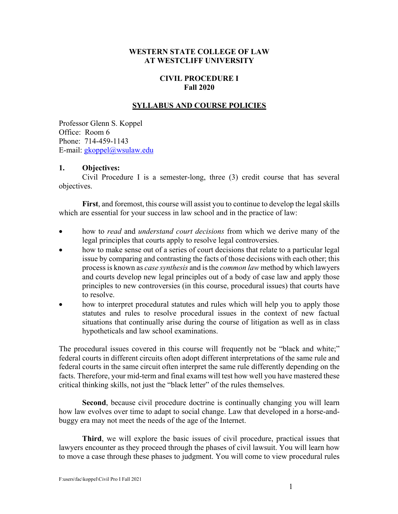## **WESTERN STATE COLLEGE OF LAW AT WESTCLIFF UNIVERSITY**

# **CIVIL PROCEDURE I Fall 2020**

## **SYLLABUS AND COURSE POLICIES**

Professor Glenn S. Koppel Office: Room 6 Phone: 714-459-1143 E-mail: gkoppel@wsulaw.edu

#### **1. Objectives:**

Civil Procedure I is a semester-long, three (3) credit course that has several objectives.

**First**, and foremost, this course will assist you to continue to develop the legal skills which are essential for your success in law school and in the practice of law:

- how to *read* and *understand court decisions* from which we derive many of the legal principles that courts apply to resolve legal controversies.
- how to make sense out of a series of court decisions that relate to a particular legal issue by comparing and contrasting the facts of those decisions with each other; this process is known as *case synthesis* and is the *common law* method by which lawyers and courts develop new legal principles out of a body of case law and apply those principles to new controversies (in this course, procedural issues) that courts have to resolve.
- how to interpret procedural statutes and rules which will help you to apply those statutes and rules to resolve procedural issues in the context of new factual situations that continually arise during the course of litigation as well as in class hypotheticals and law school examinations.

The procedural issues covered in this course will frequently not be "black and white;" federal courts in different circuits often adopt different interpretations of the same rule and federal courts in the same circuit often interpret the same rule differently depending on the facts. Therefore, your mid-term and final exams will test how well you have mastered these critical thinking skills, not just the "black letter" of the rules themselves.

**Second**, because civil procedure doctrine is continually changing you will learn how law evolves over time to adapt to social change. Law that developed in a horse-andbuggy era may not meet the needs of the age of the Internet.

**Third**, we will explore the basic issues of civil procedure, practical issues that lawyers encounter as they proceed through the phases of civil lawsuit. You will learn how to move a case through these phases to judgment. You will come to view procedural rules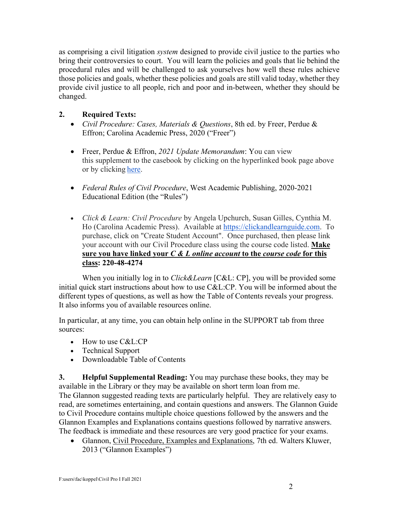as comprising a civil litigation *system* designed to provide civil justice to the parties who bring their controversies to court. You will learn the policies and goals that lie behind the procedural rules and will be challenged to ask yourselves how well these rules achieve those policies and goals, whether these policies and goals are still valid today, whether they provide civil justice to all people, rich and poor and in-between, whether they should be changed.

# **2. Required Texts:**

- *Civil Procedure: Cases, Materials & Questions*, 8th ed. by Freer, Perdue & Effron; Carolina Academic Press, 2020 ("Freer")
- Freer, Perdue & Effron, *2021 Update Memorandum*: You can view this supplement to the casebook by clicking on the hyperlinked book page above or by clicking here.
- *Federal Rules of Civil Procedure*, West Academic Publishing, 2020-2021 Educational Edition (the "Rules")
- *Click & Learn: Civil Procedure* by Angela Upchurch, Susan Gilles, Cynthia M. Ho (Carolina Academic Press). Available at https://clickandlearnguide.com. To purchase, click on "Create Student Account". Once purchased, then please link your account with our Civil Procedure class using the course code listed. **Make sure you have linked your** *C & L online account* **to the** *course code* **for this class: 220-48-4274**

When you initially log in to *Click&Learn* [C&L: CP], you will be provided some initial quick start instructions about how to use C&L:CP. You will be informed about the different types of questions, as well as how the Table of Contents reveals your progress. It also informs you of available resources online.

In particular, at any time, you can obtain help online in the SUPPORT tab from three sources:

- How to use C&L:CP
- Technical Support
- Downloadable Table of Contents

**3. Helpful Supplemental Reading:** You may purchase these books, they may be available in the Library or they may be available on short term loan from me. The Glannon suggested reading texts are particularly helpful. They are relatively easy to read, are sometimes entertaining, and contain questions and answers. The Glannon Guide to Civil Procedure contains multiple choice questions followed by the answers and the Glannon Examples and Explanations contains questions followed by narrative answers. The feedback is immediate and these resources are very good practice for your exams.

• Glannon, Civil Procedure, Examples and Explanations, 7th ed. Walters Kluwer, 2013 ("Glannon Examples")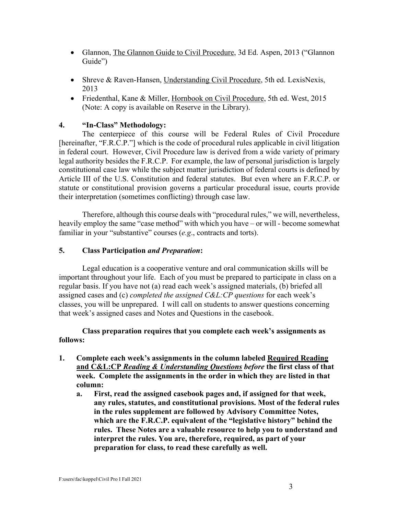- Glannon, The Glannon Guide to Civil Procedure, 3d Ed. Aspen, 2013 ("Glannon" Guide")
- Shreve & Raven-Hansen, Understanding Civil Procedure, 5th ed. LexisNexis, 2013
- Friedenthal, Kane & Miller, Hornbook on Civil Procedure, 5th ed. West, 2015 (Note: A copy is available on Reserve in the Library).

# **4. "In-Class" Methodology:**

The centerpiece of this course will be Federal Rules of Civil Procedure [hereinafter, "F.R.C.P."] which is the code of procedural rules applicable in civil litigation in federal court. However, Civil Procedure law is derived from a wide variety of primary legal authority besides the F.R.C.P. For example, the law of personal jurisdiction is largely constitutional case law while the subject matter jurisdiction of federal courts is defined by Article III of the U.S. Constitution and federal statutes. But even where an F.R.C.P. or statute or constitutional provision governs a particular procedural issue, courts provide their interpretation (sometimes conflicting) through case law.

Therefore, although this course deals with "procedural rules," we will, nevertheless, heavily employ the same "case method" with which you have – or will - become somewhat familiar in your "substantive" courses (*e.g*., contracts and torts).

# **5. Class Participation** *and Preparation***:**

Legal education is a cooperative venture and oral communication skills will be important throughout your life. Each of you must be prepared to participate in class on a regular basis. If you have not (a) read each week's assigned materials, (b) briefed all assigned cases and (c) *completed the assigned C&L:CP questions* for each week's classes, you will be unprepared. I will call on students to answer questions concerning that week's assigned cases and Notes and Questions in the casebook.

## **Class preparation requires that you complete each week's assignments as follows:**

- **1. Complete each week's assignments in the column labeled Required Reading and C&L:CP** *Reading & Understanding Questions before* **the first class of that week. Complete the assignments in the order in which they are listed in that column:**
	- **a. First, read the assigned casebook pages and, if assigned for that week, any rules, statutes, and constitutional provisions. Most of the federal rules in the rules supplement are followed by Advisory Committee Notes, which are the F.R.C.P. equivalent of the "legislative history" behind the rules. These Notes are a valuable resource to help you to understand and interpret the rules. You are, therefore, required, as part of your preparation for class, to read these carefully as well.**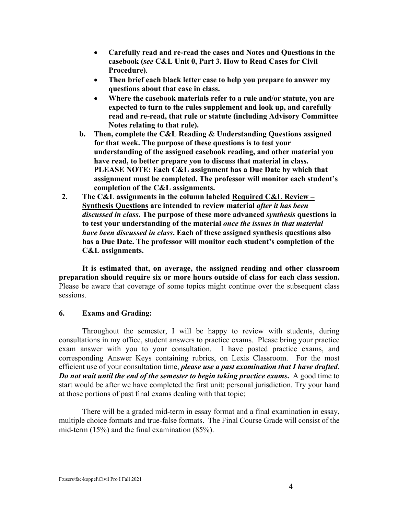- **Carefully read and re-read the cases and Notes and Questions in the casebook (***see* **C&L Unit 0, Part 3. How to Read Cases for Civil Procedure).**
- **Then brief each black letter case to help you prepare to answer my questions about that case in class.**
- **Where the casebook materials refer to a rule and/or statute, you are expected to turn to the rules supplement and look up, and carefully read and re-read, that rule or statute (including Advisory Committee Notes relating to that rule).**
- **b. Then, complete the C&L Reading & Understanding Questions assigned for that week. The purpose of these questions is to test your understanding of the assigned casebook reading, and other material you have read, to better prepare you to discuss that material in class. PLEASE NOTE: Each C&L assignment has a Due Date by which that assignment must be completed. The professor will monitor each student's completion of the C&L assignments.**
- **2. The C&L assignments in the column labeled Required C&L Review – Synthesis Questions are intended to review material** *after it has been discussed in class***. The purpose of these more advanced** *synthesis* **questions ia to test your understanding of the material** *once the issues in that material have been discussed in class***. Each of these assigned synthesis questions also has a Due Date. The professor will monitor each student's completion of the C&L assignments.**

**It is estimated that, on average, the assigned reading and other classroom preparation should require six or more hours outside of class for each class session.** Please be aware that coverage of some topics might continue over the subsequent class sessions.

### **6. Exams and Grading:**

Throughout the semester, I will be happy to review with students, during consultations in my office, student answers to practice exams. Please bring your practice exam answer with you to your consultation. I have posted practice exams, and corresponding Answer Keys containing rubrics, on Lexis Classroom. For the most efficient use of your consultation time, *please use a past examination that I have drafted*. *Do not wait until the end of the semester to begin taking practice exams***.** A good time to start would be after we have completed the first unit: personal jurisdiction. Try your hand at those portions of past final exams dealing with that topic;

There will be a graded mid-term in essay format and a final examination in essay, multiple choice formats and true-false formats. The Final Course Grade will consist of the mid-term (15%) and the final examination (85%).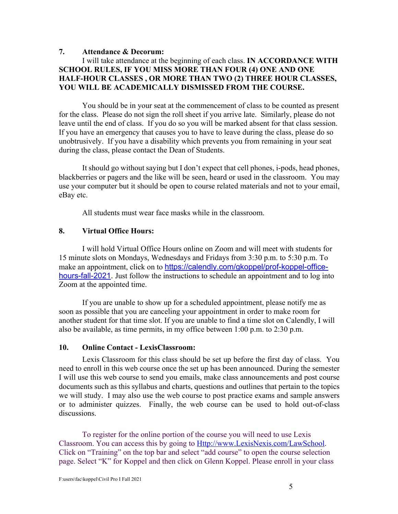## **7. Attendance & Decorum:**

## I will take attendance at the beginning of each class. **IN ACCORDANCE WITH SCHOOL RULES, IF YOU MISS MORE THAN FOUR (4) ONE AND ONE HALF-HOUR CLASSES , OR MORE THAN TWO (2) THREE HOUR CLASSES, YOU WILL BE ACADEMICALLY DISMISSED FROM THE COURSE.**

You should be in your seat at the commencement of class to be counted as present for the class. Please do not sign the roll sheet if you arrive late. Similarly, please do not leave until the end of class. If you do so you will be marked absent for that class session. If you have an emergency that causes you to have to leave during the class, please do so unobtrusively. If you have a disability which prevents you from remaining in your seat during the class, please contact the Dean of Students.

It should go without saying but I don't expect that cell phones, i-pods, head phones, blackberries or pagers and the like will be seen, heard or used in the classroom. You may use your computer but it should be open to course related materials and not to your email, eBay etc.

All students must wear face masks while in the classroom.

### **8. Virtual Office Hours:**

I will hold Virtual Office Hours online on Zoom and will meet with students for 15 minute slots on Mondays, Wednesdays and Fridays from 3:30 p.m. to 5:30 p.m. To make an appointment, click on to https://calendly.com/gkoppel/prof-koppel-officehours-fall-2021. Just follow the instructions to schedule an appointment and to log into Zoom at the appointed time.

If you are unable to show up for a scheduled appointment, please notify me as soon as possible that you are canceling your appointment in order to make room for another student for that time slot. If you are unable to find a time slot on Calendly, I will also be available, as time permits, in my office between 1:00 p.m. to 2:30 p.m.

### **10. Online Contact - LexisClassroom:**

Lexis Classroom for this class should be set up before the first day of class. You need to enroll in this web course once the set up has been announced. During the semester I will use this web course to send you emails, make class announcements and post course documents such as this syllabus and charts, questions and outlines that pertain to the topics we will study. I may also use the web course to post practice exams and sample answers or to administer quizzes. Finally, the web course can be used to hold out-of-class discussions.

To register for the online portion of the course you will need to use Lexis Classroom. You can access this by going to Http://www.LexisNexis.com/LawSchool. Click on "Training" on the top bar and select "add course" to open the course selection page. Select "K" for Koppel and then click on Glenn Koppel. Please enroll in your class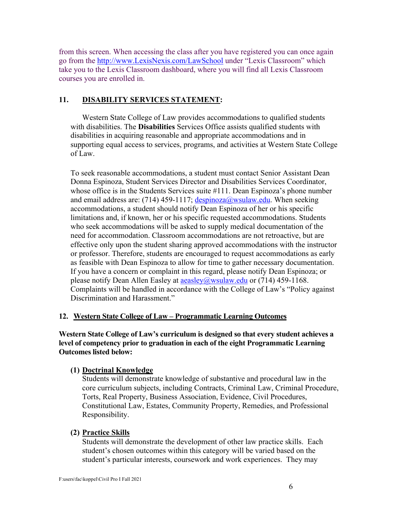from this screen. When accessing the class after you have registered you can once again go from the http://www.LexisNexis.com/LawSchool under "Lexis Classroom" which take you to the Lexis Classroom dashboard, where you will find all Lexis Classroom courses you are enrolled in.

## **11. DISABILITY SERVICES STATEMENT:**

Western State College of Law provides accommodations to qualified students with disabilities. The **Disabilities** Services Office assists qualified students with disabilities in acquiring reasonable and appropriate accommodations and in supporting equal access to services, programs, and activities at Western State College of Law.

To seek reasonable accommodations, a student must contact Senior Assistant Dean Donna Espinoza, Student Services Director and Disabilities Services Coordinator, whose office is in the Students Services suite #111. Dean Espinoza's phone number and email address are: (714) 459-1117;  $\frac{despinoza@wsulaw.edu}{d}$ . When seeking accommodations, a student should notify Dean Espinoza of her or his specific limitations and, if known, her or his specific requested accommodations. Students who seek accommodations will be asked to supply medical documentation of the need for accommodation. Classroom accommodations are not retroactive, but are effective only upon the student sharing approved accommodations with the instructor or professor. Therefore, students are encouraged to request accommodations as early as feasible with Dean Espinoza to allow for time to gather necessary documentation. If you have a concern or complaint in this regard, please notify Dean Espinoza; or please notify Dean Allen Easley at  $a$ easley  $(a)$ wsulaw.edu or (714) 459-1168. Complaints will be handled in accordance with the College of Law's "Policy against Discrimination and Harassment."

### **12. Western State College of Law – Programmatic Learning Outcomes**

**Western State College of Law's curriculum is designed so that every student achieves a level of competency prior to graduation in each of the eight Programmatic Learning Outcomes listed below:**

### **(1) Doctrinal Knowledge**

Students will demonstrate knowledge of substantive and procedural law in the core curriculum subjects, including Contracts, Criminal Law, Criminal Procedure, Torts, Real Property, Business Association, Evidence, Civil Procedures, Constitutional Law, Estates, Community Property, Remedies, and Professional Responsibility.

### **(2) Practice Skills**

Students will demonstrate the development of other law practice skills. Each student's chosen outcomes within this category will be varied based on the student's particular interests, coursework and work experiences. They may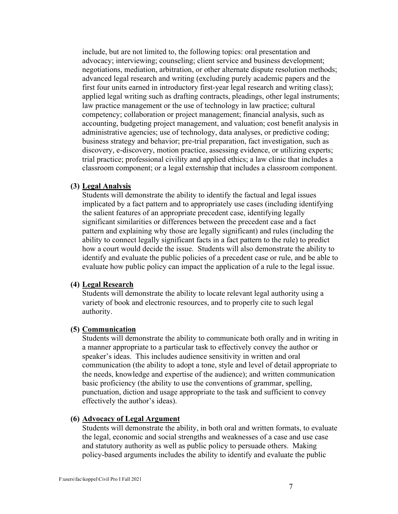include, but are not limited to, the following topics: oral presentation and advocacy; interviewing; counseling; client service and business development; negotiations, mediation, arbitration, or other alternate dispute resolution methods; advanced legal research and writing (excluding purely academic papers and the first four units earned in introductory first-year legal research and writing class); applied legal writing such as drafting contracts, pleadings, other legal instruments; law practice management or the use of technology in law practice; cultural competency; collaboration or project management; financial analysis, such as accounting, budgeting project management, and valuation; cost benefit analysis in administrative agencies; use of technology, data analyses, or predictive coding; business strategy and behavior; pre-trial preparation, fact investigation, such as discovery, e-discovery, motion practice, assessing evidence, or utilizing experts; trial practice; professional civility and applied ethics; a law clinic that includes a classroom component; or a legal externship that includes a classroom component.

#### **(3) Legal Analysis**

Students will demonstrate the ability to identify the factual and legal issues implicated by a fact pattern and to appropriately use cases (including identifying the salient features of an appropriate precedent case, identifying legally significant similarities or differences between the precedent case and a fact pattern and explaining why those are legally significant) and rules (including the ability to connect legally significant facts in a fact pattern to the rule) to predict how a court would decide the issue. Students will also demonstrate the ability to identify and evaluate the public policies of a precedent case or rule, and be able to evaluate how public policy can impact the application of a rule to the legal issue.

#### **(4) Legal Research**

Students will demonstrate the ability to locate relevant legal authority using a variety of book and electronic resources, and to properly cite to such legal authority.

#### **(5) Communication**

Students will demonstrate the ability to communicate both orally and in writing in a manner appropriate to a particular task to effectively convey the author or speaker's ideas. This includes audience sensitivity in written and oral communication (the ability to adopt a tone, style and level of detail appropriate to the needs, knowledge and expertise of the audience); and written communication basic proficiency (the ability to use the conventions of grammar, spelling, punctuation, diction and usage appropriate to the task and sufficient to convey effectively the author's ideas).

#### **(6) Advocacy of Legal Argument**

Students will demonstrate the ability, in both oral and written formats, to evaluate the legal, economic and social strengths and weaknesses of a case and use case and statutory authority as well as public policy to persuade others. Making policy-based arguments includes the ability to identify and evaluate the public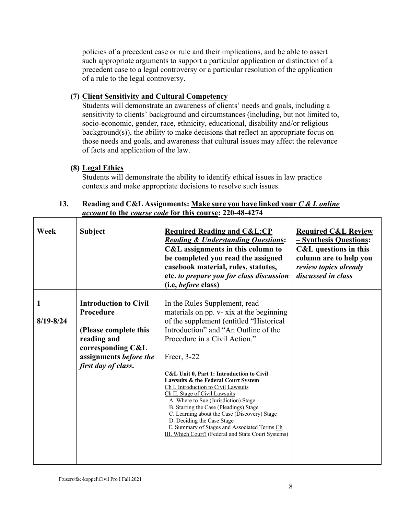policies of a precedent case or rule and their implications, and be able to assert such appropriate arguments to support a particular application or distinction of a precedent case to a legal controversy or a particular resolution of the application of a rule to the legal controversy.

# **(7) Client Sensitivity and Cultural Competency**

Students will demonstrate an awareness of clients' needs and goals, including a sensitivity to clients' background and circumstances (including, but not limited to, socio-economic, gender, race, ethnicity, educational, disability and/or religious background(s)), the ability to make decisions that reflect an appropriate focus on those needs and goals, and awareness that cultural issues may affect the relevance of facts and application of the law.

# **(8) Legal Ethics**

Students will demonstrate the ability to identify ethical issues in law practice contexts and make appropriate decisions to resolve such issues.

## **13. Reading and C&L Assignments: Make sure you have linked your** *C & L online account* **to the** *course code* **for this course: 220-48-4274**

| Week          | <b>Subject</b>                                                                                                                                          | <b>Required Reading and C&amp;L:CP</b><br><b>Reading &amp; Understanding Questions:</b><br>C&L assignments in this column to<br>be completed you read the assigned<br>casebook material, rules, statutes,<br>etc. to prepare you for class discussion<br>(i.e, <i>before</i> class)                                                                                                                                                                                                                                                                                                                                                               | <b>Required C&amp;L Review</b><br>- Synthesis Questions:<br><b>C&amp;L</b> questions in this<br>column are to help you<br>review topics already<br>discussed in class |
|---------------|---------------------------------------------------------------------------------------------------------------------------------------------------------|---------------------------------------------------------------------------------------------------------------------------------------------------------------------------------------------------------------------------------------------------------------------------------------------------------------------------------------------------------------------------------------------------------------------------------------------------------------------------------------------------------------------------------------------------------------------------------------------------------------------------------------------------|-----------------------------------------------------------------------------------------------------------------------------------------------------------------------|
| $8/19 - 8/24$ | <b>Introduction to Civil</b><br>Procedure<br>(Please complete this<br>reading and<br>corresponding C&L<br>assignments before the<br>first day of class. | In the Rules Supplement, read<br>materials on pp. v- xix at the beginning<br>of the supplement (entitled "Historical<br>Introduction" and "An Outline of the<br>Procedure in a Civil Action."<br>Freer, 3-22<br>C&L Unit 0, Part 1: Introduction to Civil<br>Lawsuits & the Federal Court System<br>Ch I. Introduction to Civil Lawsuits<br>Ch II. Stage of Civil Lawsuits<br>A. Where to Sue (Jurisdiction) Stage<br>B. Starting the Case (Pleadings) Stage<br>C. Learning about the Case (Discovery) Stage<br>D. Deciding the Case Stage<br>E. Summary of Stages and Associated Terms Ch<br>III. Which Court? (Federal and State Court Systems) |                                                                                                                                                                       |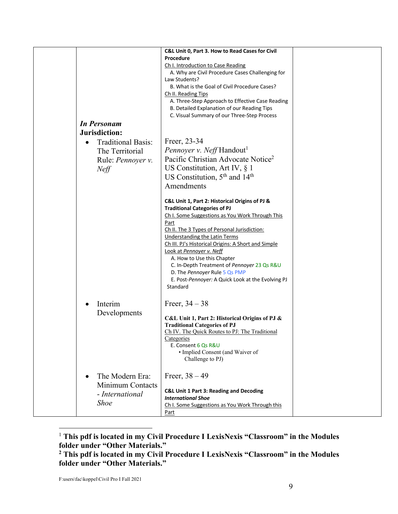| <b>In Personam</b><br>Jurisdiction:<br><b>Traditional Basis:</b><br>$\bullet$<br>The Territorial<br>Rule: <i>Pennoyer</i> v. | C&L Unit 0, Part 3. How to Read Cases for Civil<br>Procedure<br>Ch I. Introduction to Case Reading<br>A. Why are Civil Procedure Cases Challenging for<br>Law Students?<br>B. What is the Goal of Civil Procedure Cases?<br>Ch II. Reading Tips<br>A. Three-Step Approach to Effective Case Reading<br>B. Detailed Explanation of our Reading Tips<br>C. Visual Summary of our Three-Step Process<br>Freer, 23-34<br>Pennoyer v. Neff Handout <sup>1</sup><br>Pacific Christian Advocate Notice <sup>2</sup>                                                                                     |  |
|------------------------------------------------------------------------------------------------------------------------------|--------------------------------------------------------------------------------------------------------------------------------------------------------------------------------------------------------------------------------------------------------------------------------------------------------------------------------------------------------------------------------------------------------------------------------------------------------------------------------------------------------------------------------------------------------------------------------------------------|--|
| Neff                                                                                                                         | US Constitution, Art IV, $\S$ 1<br>US Constitution, $5th$ and $14th$<br>Amendments<br>C&L Unit 1, Part 2: Historical Origins of PJ &<br><b>Traditional Categories of PJ</b><br>Ch I. Some Suggestions as You Work Through This<br>Part<br>Ch II. The 3 Types of Personal Jurisdiction:<br><b>Understanding the Latin Terms</b><br>Ch III. PJ's Historical Origins: A Short and Simple<br>Look at Pennoyer v. Neff<br>A. How to Use this Chapter<br>C. In-Depth Treatment of Pennoyer 23 Qs R&U<br>D. The Pennoyer Rule 5 Qs PMP<br>E. Post-Pennoyer: A Quick Look at the Evolving PJ<br>Standard |  |
| Interim<br>$\bullet$<br>Developments                                                                                         | Freer, $34 - 38$<br>C&L Unit 1, Part 2: Historical Origins of PJ &<br><b>Traditional Categories of PJ</b><br>Ch IV. The Quick Routes to PJ: The Traditional<br>Categories<br>E. Consent 6 Qs R&U<br>· Implied Consent (and Waiver of<br>Challenge to PJ)                                                                                                                                                                                                                                                                                                                                         |  |
| The Modern Era:<br>$\bullet$<br>Minimum Contacts<br>- International<br><b>Shoe</b>                                           | Freer, $38 - 49$<br><b>C&amp;L Unit 1 Part 3: Reading and Decoding</b><br><b>International Shoe</b><br>Ch I. Some Suggestions as You Work Through this<br>Part                                                                                                                                                                                                                                                                                                                                                                                                                                   |  |

<sup>1</sup> **This pdf is located in my Civil Procedure I LexisNexis "Classroom" in the Modules folder under "Other Materials."**

**<sup>2</sup> This pdf is located in my Civil Procedure I LexisNexis "Classroom" in the Modules folder under "Other Materials."**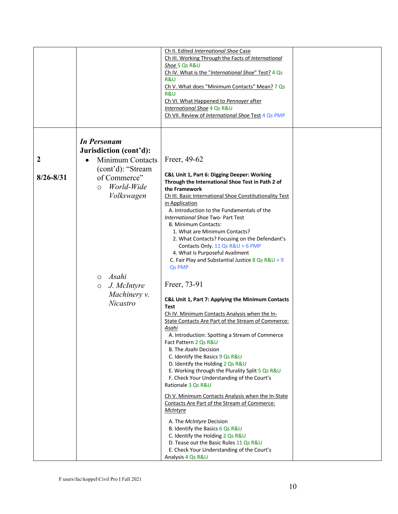|                  |                                                                          | Ch II. Edited International Shoe Case<br>Ch III. Working Through the Facts of International<br>Shoe 5 Qs R&U<br>Ch IV. What is the "International Shoe" Test? 4 Qs<br>R&U<br>Ch V. What does "Minimum Contacts" Mean? 7 Qs<br>R&U<br>Ch VI. What Happened to Pennoyer after<br>International Shoe 4 Qs R&U<br>Ch VII. Review of International Shoe Test 4 Qs PMP                                                                                                                                                                                                                                                                                                                                                              |  |
|------------------|--------------------------------------------------------------------------|-------------------------------------------------------------------------------------------------------------------------------------------------------------------------------------------------------------------------------------------------------------------------------------------------------------------------------------------------------------------------------------------------------------------------------------------------------------------------------------------------------------------------------------------------------------------------------------------------------------------------------------------------------------------------------------------------------------------------------|--|
|                  | <b>In Personam</b>                                                       |                                                                                                                                                                                                                                                                                                                                                                                                                                                                                                                                                                                                                                                                                                                               |  |
|                  | Jurisdiction (cont'd):                                                   |                                                                                                                                                                                                                                                                                                                                                                                                                                                                                                                                                                                                                                                                                                                               |  |
| $\boldsymbol{2}$ | Minimum Contacts                                                         | Freer, 49-62                                                                                                                                                                                                                                                                                                                                                                                                                                                                                                                                                                                                                                                                                                                  |  |
| $8/26 - 8/31$    | (cont'd): "Stream<br>of Commerce"<br>World-Wide<br>$\circ$<br>Volkswagen | C&L Unit 1, Part 6: Digging Deeper: Working<br>Through the International Shoe Test in Path 2 of<br>the Framework<br>Ch III. Basic International Shoe Constitutionality Test<br>in Application<br>A. Introduction to the Fundamentals of the<br>International Shoe Two- Part Test<br>B. Minimum Contacts:<br>1. What are Minimum Contacts?                                                                                                                                                                                                                                                                                                                                                                                     |  |
|                  | 0 Asahi                                                                  | 2. What Contacts? Focusing on the Defendant's<br>Contacts Only. 11 Qs R&U + 6 PMP<br>4. What is Purposeful Availment<br>C. Fair Play and Substantial Justice 8 Qs $R&U + 9$<br>Qs PMP                                                                                                                                                                                                                                                                                                                                                                                                                                                                                                                                         |  |
|                  | J. McIntyre<br>$\circ$<br>Machinery v.<br>Nicastro                       | Freer, 73-91<br>C&L Unit 1, Part 7: Applying the Minimum Contacts<br><b>Test</b><br>Ch IV. Minimum Contacts Analysis when the In-<br>State Contacts Are Part of the Stream of Commerce:<br>Asahi<br>A. Introduction: Spotting a Stream of Commerce<br>Fact Pattern 2 Qs R&U<br>B. The Asahi Decision<br>C. Identify the Basics 9 Qs R&U<br>D. Identify the Holding 2 Qs R&U<br>E. Working through the Plurality Split 5 Qs R&U<br>F. Check Your Understanding of the Court's<br>Rationale 3 Qs R&U<br>Ch V. Minimum Contacts Analysis when the In-State<br>Contacts Are Part of the Stream of Commerce:<br><b>McIntyre</b><br>A. The McIntyre Decision<br>B. Identify the Basics 6 Qs R&U<br>C. Identify the Holding 2 Qs R&U |  |
|                  |                                                                          | D. Tease out the Basic Rules 11 Qs R&U<br>E. Check Your Understanding of the Court's<br>Analysis 4 Qs R&U                                                                                                                                                                                                                                                                                                                                                                                                                                                                                                                                                                                                                     |  |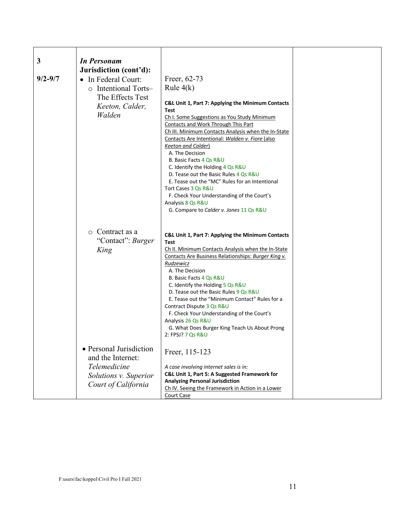| 3           | <b>In Personam</b>      |                                                                                                           |  |
|-------------|-------------------------|-----------------------------------------------------------------------------------------------------------|--|
|             | Jurisdiction (cont'd):  |                                                                                                           |  |
| $9/2 - 9/7$ | • In Federal Court:     | Freer, 62-73                                                                                              |  |
|             | o Intentional Torts-    | Rule $4(k)$                                                                                               |  |
|             | The Effects Test        |                                                                                                           |  |
|             | Keeton, Calder,         | C&L Unit 1, Part 7: Applying the Minimum Contacts<br>Test                                                 |  |
|             | Walden                  | Ch I. Some Suggestions as You Study Minimum                                                               |  |
|             |                         | <b>Contacts and Work Through This Part</b>                                                                |  |
|             |                         | Ch III. Minimum Contacts Analysis when the In-State                                                       |  |
|             |                         | Contacts Are Intentional: Walden v. Fiore (also                                                           |  |
|             |                         | <u>Keeton and Calder)</u>                                                                                 |  |
|             |                         | A. The Decision<br>B. Basic Facts 4 Qs R&U                                                                |  |
|             |                         | C. Identify the Holding 4 Qs R&U                                                                          |  |
|             |                         | D. Tease out the Basic Rules 4 Qs R&U                                                                     |  |
|             |                         | E. Tease out the "MC" Rules for an Intentional                                                            |  |
|             |                         | Tort Cases 3 Qs R&U                                                                                       |  |
|             |                         | F. Check Your Understanding of the Court's<br>Analysis 8 Qs R&U                                           |  |
|             |                         | G. Compare to Calder v. Jones 11 Qs R&U                                                                   |  |
|             |                         |                                                                                                           |  |
|             |                         |                                                                                                           |  |
|             | $\circ$ Contract as a   | C&L Unit 1, Part 7: Applying the Minimum Contacts                                                         |  |
|             | "Contact": Burger       | <b>Test</b>                                                                                               |  |
|             | King                    | Ch II. Minimum Contacts Analysis when the In-State<br>Contacts Are Business Relationships: Burger King v. |  |
|             |                         | Rudzewicz                                                                                                 |  |
|             |                         | A. The Decision                                                                                           |  |
|             |                         | B. Basic Facts 4 Qs R&U                                                                                   |  |
|             |                         | C. Identify the Holding 5 Qs R&U                                                                          |  |
|             |                         | D. Tease out the Basic Rules 9 Qs R&U<br>E. Tease out the "Minimum Contact" Rules for a                   |  |
|             |                         | Contract Dispute 3 Qs R&U                                                                                 |  |
|             |                         | F. Check Your Understanding of the Court's                                                                |  |
|             |                         | Analysis 26 Qs R&U                                                                                        |  |
|             |                         | G. What Does Burger King Teach Us About Prong<br>2: FPSJ? 7 Qs R&U                                        |  |
|             |                         |                                                                                                           |  |
|             | • Personal Jurisdiction | Freer, 115-123                                                                                            |  |
|             | and the Internet:       |                                                                                                           |  |
|             | Telemedicine            | A case involving internet sales is in:                                                                    |  |
|             | Solutions v. Superior   | C&L Unit 1, Part 5: A Suggested Framework for                                                             |  |
|             | Court of California     | <b>Analyzing Personal Jurisdiction</b>                                                                    |  |
|             |                         | Ch IV. Seeing the Framework in Action in a Lower                                                          |  |
|             |                         | <b>Court Case</b>                                                                                         |  |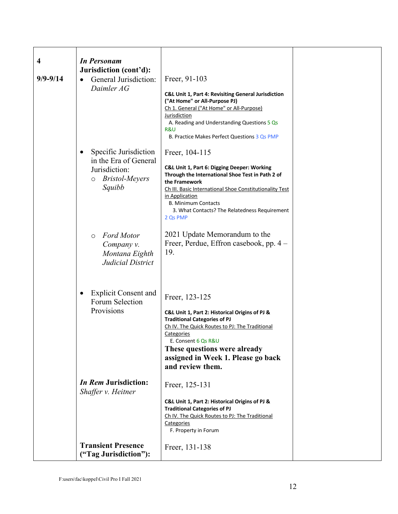| 4<br>$9/9 - 9/14$ | <b>In Personam</b><br>Jurisdiction (cont'd):<br>General Jurisdiction:<br>Daimler AG                     | Freer, 91-103<br>C&L Unit 1, Part 4: Revisiting General Jurisdiction<br>("At Home" or All-Purpose PJ)<br>Ch 1. General ("At Home" or All-Purpose)<br>Jurisdiction<br>A. Reading and Understanding Questions 5 Qs<br>R&U<br>B. Practice Makes Perfect Questions 3 Qs PMP                                    |  |
|-------------------|---------------------------------------------------------------------------------------------------------|------------------------------------------------------------------------------------------------------------------------------------------------------------------------------------------------------------------------------------------------------------------------------------------------------------|--|
|                   | Specific Jurisdiction<br>in the Era of General<br>Jurisdiction:<br><b>Bristol-Meyers</b><br>O<br>Squibb | Freer, 104-115<br>C&L Unit 1, Part 6: Digging Deeper: Working<br>Through the International Shoe Test in Path 2 of<br>the Framework<br>Ch III. Basic International Shoe Constitutionality Test<br>in Application<br><b>B. Minimum Contacts</b><br>3. What Contacts? The Relatedness Requirement<br>2 Qs PMP |  |
|                   | <b>Ford Motor</b><br>$\circ$<br>Company v.<br>Montana Eighth<br>Judicial District                       | 2021 Update Memorandum to the<br>Freer, Perdue, Effron casebook, pp. 4 –<br>19.                                                                                                                                                                                                                            |  |
|                   | <b>Explicit Consent and</b><br>$\bullet$<br>Forum Selection<br>Provisions                               | Freer, 123-125<br>C&L Unit 1, Part 2: Historical Origins of PJ &<br><b>Traditional Categories of PJ</b><br>Ch IV. The Quick Routes to PJ: The Traditional<br>Categories<br>E. Consent 6 Qs R&U<br>These questions were already<br>assigned in Week 1. Please go back<br>and review them.                   |  |
|                   | <i>In Rem</i> Jurisdiction:<br>Shaffer v. Heitner                                                       | Freer, 125-131<br>C&L Unit 1, Part 2: Historical Origins of PJ &<br><b>Traditional Categories of PJ</b><br>Ch IV. The Quick Routes to PJ: The Traditional<br>Categories<br>F. Property in Forum                                                                                                            |  |
|                   | <b>Transient Presence</b><br>("Tag Jurisdiction"):                                                      | Freer, 131-138                                                                                                                                                                                                                                                                                             |  |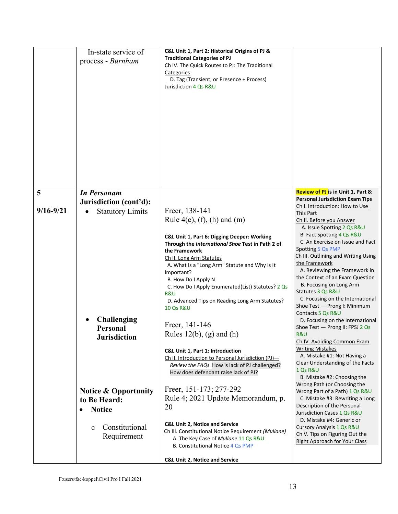|               | In-state service of<br>process - Burnham                                                                      | C&L Unit 1, Part 2: Historical Origins of PJ &<br><b>Traditional Categories of PJ</b><br>Ch IV. The Quick Routes to PJ: The Traditional<br>Categories<br>D. Tag (Transient, or Presence + Process)<br>Jurisdiction 4 Os R&U                                                                                                                                                                                                                                                                                                                                                                                                                                                 |                                                                                                                                                                                                                                                                                                                                                                                                                                                                                                                                                                                                                                                                                                 |
|---------------|---------------------------------------------------------------------------------------------------------------|-----------------------------------------------------------------------------------------------------------------------------------------------------------------------------------------------------------------------------------------------------------------------------------------------------------------------------------------------------------------------------------------------------------------------------------------------------------------------------------------------------------------------------------------------------------------------------------------------------------------------------------------------------------------------------|-------------------------------------------------------------------------------------------------------------------------------------------------------------------------------------------------------------------------------------------------------------------------------------------------------------------------------------------------------------------------------------------------------------------------------------------------------------------------------------------------------------------------------------------------------------------------------------------------------------------------------------------------------------------------------------------------|
| 5             | <b>In Personam</b>                                                                                            |                                                                                                                                                                                                                                                                                                                                                                                                                                                                                                                                                                                                                                                                             | <b>Review of PJ</b> is in Unit 1, Part 8:<br><b>Personal Jurisdiction Exam Tips</b>                                                                                                                                                                                                                                                                                                                                                                                                                                                                                                                                                                                                             |
|               | Jurisdiction (cont'd):                                                                                        |                                                                                                                                                                                                                                                                                                                                                                                                                                                                                                                                                                                                                                                                             | Ch I. Introduction: How to Use                                                                                                                                                                                                                                                                                                                                                                                                                                                                                                                                                                                                                                                                  |
| $9/16 - 9/21$ | <b>Statutory Limits</b><br><b>Challenging</b><br>Personal<br><b>Jurisdiction</b>                              | Freer, 138-141<br>Rule $4(e)$ , (f), (h) and (m)<br>C&L Unit 1, Part 6: Digging Deeper: Working<br>Through the International Shoe Test in Path 2 of<br>the Framework<br>Ch II. Long Arm Statutes<br>A. What Is a "Long Arm" Statute and Why Is It<br>Important?<br>B. How Do I Apply N<br>C. How Do I Apply Enumerated(List) Statutes? 2 Qs<br>R&U<br>D. Advanced Tips on Reading Long Arm Statutes?<br><b>10 Qs R&amp;U</b><br>Freer, 141-146<br>Rules $12(b)$ , (g) and (h)<br><b>C&amp;L Unit 1, Part 1: Introduction</b><br>Ch II. Introduction to Personal Jurisdiction (PJ)-<br>Review the FAQs How is lack of PJ challenged?<br>How does defendant raise lack of PJ? | This Part<br>Ch II. Before you Answer<br>A. Issue Spotting 2 Qs R&U<br>B. Fact Spotting 4 Qs R&U<br>C. An Exercise on Issue and Fact<br>Spotting 5 Qs PMP<br>Ch III. Outlining and Writing Using<br>the Framework<br>A. Reviewing the Framework in<br>the Context of an Exam Question<br>B. Focusing on Long Arm<br>Statutes 3 Qs R&U<br>C. Focusing on the International<br>Shoe Test - Prong I: Minimum<br>Contacts 5 Qs R&U<br>D. Focusing on the International<br>Shoe Test - Prong II: FPSJ 2 Qs<br>R&U<br>Ch IV. Avoiding Common Exam<br><b>Writing Mistakes</b><br>A. Mistake #1: Not Having a<br>Clear Understanding of the Facts<br><b>1 Os R&amp;U</b><br>B. Mistake #2: Choosing the |
|               | <b>Notice &amp; Opportunity</b><br>to Be Heard:<br><b>Notice</b><br>$\bullet$<br>Constitutional<br>$\bigcirc$ | Freer, 151-173; 277-292<br>Rule 4; 2021 Update Memorandum, p.<br>20<br><b>C&amp;L Unit 2, Notice and Service</b><br>Ch III. Constitutional Notice Requirement (Mullane)                                                                                                                                                                                                                                                                                                                                                                                                                                                                                                     | Wrong Path (or Choosing the<br>Wrong Part of a Path) 1 Qs R&U<br>C. Mistake #3: Rewriting a Long<br>Description of the Personal<br>Jurisdiction Cases 1 Qs R&U<br>D. Mistake #4: Generic or<br>Cursory Analysis 1 Qs R&U                                                                                                                                                                                                                                                                                                                                                                                                                                                                        |
|               | Requirement                                                                                                   | A. The Key Case of Mullane 11 Qs R&U<br><b>B. Constitutional Notice 4 Qs PMP</b><br><b>C&amp;L Unit 2, Notice and Service</b>                                                                                                                                                                                                                                                                                                                                                                                                                                                                                                                                               | Ch V. Tips on Figuring Out the<br><b>Right Approach for Your Class</b>                                                                                                                                                                                                                                                                                                                                                                                                                                                                                                                                                                                                                          |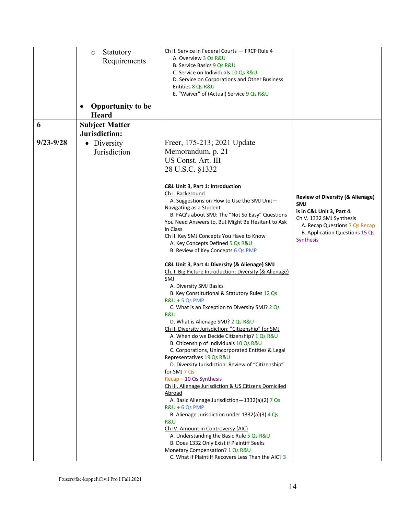|               | Statutory<br>O                           | Ch II. Service in Federal Courts - FRCP Rule 4                                            |                                                       |
|---------------|------------------------------------------|-------------------------------------------------------------------------------------------|-------------------------------------------------------|
|               | Requirements                             | A. Overview 3 Qs R&U                                                                      |                                                       |
|               |                                          | B. Service Basics 9 Qs R&U                                                                |                                                       |
|               |                                          | C. Service on Individuals 10 Qs R&U<br>D. Service on Corporations and Other Business      |                                                       |
|               |                                          | Entities 8 Qs R&U                                                                         |                                                       |
|               |                                          | E. "Waiver" of (Actual) Service 9 Qs R&U                                                  |                                                       |
|               | <b>Opportunity to be</b><br><b>Heard</b> |                                                                                           |                                                       |
| 6             | <b>Subject Matter</b>                    |                                                                                           |                                                       |
|               | Jurisdiction:                            |                                                                                           |                                                       |
| $9/23 - 9/28$ | • Diversity                              | Freer, 175-213; 2021 Update                                                               |                                                       |
|               | Jurisdiction                             | Memorandum, p. 21                                                                         |                                                       |
|               |                                          | US Const. Art. III                                                                        |                                                       |
|               |                                          |                                                                                           |                                                       |
|               |                                          | 28 U.S.C. §1332                                                                           |                                                       |
|               |                                          | C&L Unit 3, Part 1: Introduction                                                          |                                                       |
|               |                                          | Ch I. Background                                                                          |                                                       |
|               |                                          | A. Suggestions on How to Use the SMJ Unit-                                                | <b>Review of Diversity (&amp; Alienage)</b>           |
|               |                                          | Navigating as a Student                                                                   | <b>SMJ</b>                                            |
|               |                                          | B. FAQ's about SMJ: The "Not So Easy" Questions                                           | is in C&L Unit 3, Part 4.<br>Ch V. 1332 SMJ Synthesis |
|               |                                          | You Need Answers to, But Might Be Hesitant to Ask                                         | A. Recap Questions 7 Qs Recap                         |
|               |                                          | in Class                                                                                  | B. Application Questions 15 Qs                        |
|               |                                          | Ch II. Key SMJ Concepts You Have to Know<br>A. Key Concepts Defined 5 Qs R&U              | Synthesis                                             |
|               |                                          | B. Review of Key Concepts 6 Qs PMP                                                        |                                                       |
|               |                                          |                                                                                           |                                                       |
|               |                                          | C&L Unit 3, Part 4: Diversity (& Alienage) SMJ                                            |                                                       |
|               |                                          | Ch. I. Big Picture Introduction; Diversity (& Alienage)                                   |                                                       |
|               |                                          | <b>SMJ</b><br>A. Diversity SMJ Basics                                                     |                                                       |
|               |                                          | B. Key Constitutional & Statutory Rules 12 Qs                                             |                                                       |
|               |                                          | R&U + 5 Qs PMP                                                                            |                                                       |
|               |                                          | C. What is an Exception to Diversity SMJ? 2 Qs                                            |                                                       |
|               |                                          | R&U                                                                                       |                                                       |
|               |                                          | D. What is Alienage SMJ? 2 Qs R&U<br>Ch II. Diversity Jurisdiction: "Citizenship" for SMJ |                                                       |
|               |                                          | A. When do we Decide Citizenship? 1 Os R&U                                                |                                                       |
|               |                                          | B. Citizenship of Individuals 10 Qs R&U                                                   |                                                       |
|               |                                          | C. Corporations, Unincorporated Entities & Legal                                          |                                                       |
|               |                                          | Representatives 19 Qs R&U                                                                 |                                                       |
|               |                                          | D. Diversity Jurisdiction: Review of "Citizenship"<br>for SMJ 7 Qs                        |                                                       |
|               |                                          | Recap + 10 Qs Synthesis                                                                   |                                                       |
|               |                                          | Ch III. Alienage Jurisdiction & US Citizens Domiciled                                     |                                                       |
|               |                                          | <u>Abroad</u>                                                                             |                                                       |
|               |                                          | A. Basic Alienage Jurisdiction-1332(a)(2) 7 Qs                                            |                                                       |
|               |                                          | $R&U + 6Qs$ PMP                                                                           |                                                       |
|               |                                          | B. Alienage Jurisdiction under 1332(a)(3) 4 Qs<br>R&U                                     |                                                       |
|               |                                          | Ch IV. Amount in Controversy (AIC)                                                        |                                                       |
|               |                                          | A. Understanding the Basic Rule 5 Qs R&U                                                  |                                                       |
|               |                                          | B. Does 1332 Only Exist if Plaintiff Seeks                                                |                                                       |
|               |                                          | Monetary Compensation? 1 Qs R&U                                                           |                                                       |
|               |                                          | C. What if Plaintiff Recovers Less Than the AIC? 3                                        |                                                       |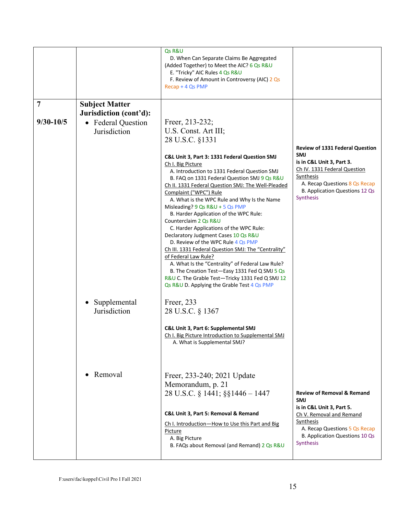|                |                                           | Qs R&U<br>D. When Can Separate Claims Be Aggregated<br>(Added Together) to Meet the AIC? 6 Qs R&U<br>E. "Tricky" AIC Rules 4 Qs R&U<br>F. Review of Amount in Controversy (AIC) 2 Qs<br>Recap + 4 Qs PMP                                                                                                                                                                                                                                                                                                                                                                                                                                                             |                                                                                                                                                                                                                |
|----------------|-------------------------------------------|----------------------------------------------------------------------------------------------------------------------------------------------------------------------------------------------------------------------------------------------------------------------------------------------------------------------------------------------------------------------------------------------------------------------------------------------------------------------------------------------------------------------------------------------------------------------------------------------------------------------------------------------------------------------|----------------------------------------------------------------------------------------------------------------------------------------------------------------------------------------------------------------|
| $\overline{7}$ | <b>Subject Matter</b>                     |                                                                                                                                                                                                                                                                                                                                                                                                                                                                                                                                                                                                                                                                      |                                                                                                                                                                                                                |
|                | Jurisdiction (cont'd):                    |                                                                                                                                                                                                                                                                                                                                                                                                                                                                                                                                                                                                                                                                      |                                                                                                                                                                                                                |
| $9/30 - 10/5$  | • Federal Question                        | Freer, 213-232;                                                                                                                                                                                                                                                                                                                                                                                                                                                                                                                                                                                                                                                      |                                                                                                                                                                                                                |
|                | Jurisdiction                              | U.S. Const. Art III;                                                                                                                                                                                                                                                                                                                                                                                                                                                                                                                                                                                                                                                 |                                                                                                                                                                                                                |
|                |                                           | 28 U.S.C. §1331                                                                                                                                                                                                                                                                                                                                                                                                                                                                                                                                                                                                                                                      |                                                                                                                                                                                                                |
|                |                                           | C&L Unit 3, Part 3: 1331 Federal Question SMJ<br>Ch I. Big Picture<br>A. Introduction to 1331 Federal Question SMJ<br>B. FAQ on 1331 Federal Question SMJ 9 Qs R&U<br>Ch II. 1331 Federal Question SMJ: The Well-Pleaded<br>Complaint ("WPC") Rule<br>A. What is the WPC Rule and Why Is the Name<br>Misleading? $9Qs$ R&U + 5 Qs PMP<br>B. Harder Application of the WPC Rule:<br>Counterclaim 2 Qs R&U<br>C. Harder Applications of the WPC Rule:<br>Declaratory Judgment Cases 10 Qs R&U<br>D. Review of the WPC Rule 4 Qs PMP<br>Ch III. 1331 Federal Question SMJ: The "Centrality"<br>of Federal Law Rule?<br>A. What Is the "Centrality" of Federal Law Rule? | <b>Review of 1331 Federal Question</b><br><b>SMJ</b><br>is in C&L Unit 3, Part 3.<br>Ch IV. 1331 Federal Question<br>Synthesis<br>A. Recap Questions 8 Qs Recap<br>B. Application Questions 12 Qs<br>Synthesis |
|                |                                           | B. The Creation Test-Easy 1331 Fed Q SMJ 5 Qs<br>R&U C. The Grable Test-Tricky 1331 Fed Q SMJ 12<br>Qs R&U D. Applying the Grable Test 4 Qs PMP                                                                                                                                                                                                                                                                                                                                                                                                                                                                                                                      |                                                                                                                                                                                                                |
|                | Supplemental<br>$\bullet$<br>Jurisdiction | Freer, 233<br>28 U.S.C. § 1367                                                                                                                                                                                                                                                                                                                                                                                                                                                                                                                                                                                                                                       |                                                                                                                                                                                                                |
|                |                                           | C&L Unit 3, Part 6: Supplemental SMJ<br>Ch I. Big Picture Introduction to Supplemental SMJ<br>A. What is Supplemental SMJ?                                                                                                                                                                                                                                                                                                                                                                                                                                                                                                                                           |                                                                                                                                                                                                                |
|                | Removal<br>$\bullet$                      | Freer, 233-240; 2021 Update<br>Memorandum, p. 21<br>28 U.S.C. § 1441; §§1446 - 1447<br>C&L Unit 3, Part 5: Removal & Remand<br>Ch I. Introduction-How to Use this Part and Big<br>Picture<br>A. Big Picture<br>B. FAQs about Removal (and Remand) 2 Qs R&U                                                                                                                                                                                                                                                                                                                                                                                                           | <b>Review of Removal &amp; Remand</b><br><b>SMJ</b><br>is in C&L Unit 3, Part 5.<br>Ch V. Removal and Remand<br>Synthesis<br>A. Recap Questions 5 Qs Recap<br>B. Application Questions 10 Qs<br>Synthesis      |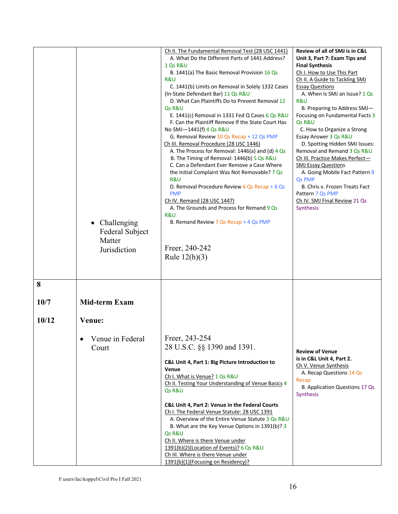|                    | Challenging<br>$\bullet$<br>Federal Subject<br>Matter<br>Jurisdiction | Ch II. The Fundamental Removal Test (28 USC 1441)<br>A. What Do the Different Parts of 1441 Address?<br>1 Qs R&U<br>B. 1441(a) The Basic Removal Provision 16 Qs<br>R&U<br>C. 1441(b) Limits on Removal in Solely 1332 Cases<br>(In-State Defendant Bar) 11 Qs R&U<br>D. What Can Plaintiffs Do to Prevent Removal 12<br>Qs R&U<br>E. 1441(c) Removal in 1331 Fed Q Cases 6 Qs R&U<br>F. Can the Plaintiff Remove If the State Court Has<br>No SMJ-1441(f) 4 Qs R&U<br>G. Removal Review 10 Qs Recap + 12 Qs PMP<br>Ch III. Removal Procedure (28 USC 1446)<br>A. The Process for Removal: $1446(a)$ and (d) $4Qs$<br>B. The Timing of Removal: 1446(b) 5 Qs R&U<br>C. Can a Defendant Ever Remove a Case Where<br>the Initial Complaint Was Not Removable? 7 Qs<br>R&U<br>D. Removal Procedure Review 6 Qs Recap + 6 Qs<br><b>PMP</b><br>Ch IV. Remand (28 USC 1447)<br>A. The Grounds and Process for Remand 9 Os<br>R&U<br>B. Remand Review 7 Qs Recap + 4 Qs PMP<br>Freer, 240-242<br>Rule $12(h)(3)$ | Review of all of SMJ is in C&L<br>Unit 3, Part 7: Exam Tips and<br><b>Final Synthesis</b><br>Ch I. How to Use This Part<br>Ch II. A Guide to Tackling SMJ<br><b>Essay Questions</b><br>A. When Is SMJ an Issue? 1 Qs<br><b>R&amp;U</b><br>B. Preparing to Address SMJ-<br>Focusing on Fundamental Facts 3<br>Qs R&U<br>C. How to Organize a Strong<br>Essay Answer 3 Qs R&U<br>D. Spotting Hidden SMJ Issues:<br>Removal and Remand 3 Qs R&U<br>Ch III. Practice Makes Perfect-<br><b>SMJ Essay Questions</b><br>A. Going Mobile Fact Pattern 8<br>Qs PMP<br>B. Chris v. Frozen Treats Fact<br>Pattern 7 Qs PMP<br>Ch IV. SMJ Final Review 21 Qs<br>Synthesis |
|--------------------|-----------------------------------------------------------------------|-----------------------------------------------------------------------------------------------------------------------------------------------------------------------------------------------------------------------------------------------------------------------------------------------------------------------------------------------------------------------------------------------------------------------------------------------------------------------------------------------------------------------------------------------------------------------------------------------------------------------------------------------------------------------------------------------------------------------------------------------------------------------------------------------------------------------------------------------------------------------------------------------------------------------------------------------------------------------------------------------------------|---------------------------------------------------------------------------------------------------------------------------------------------------------------------------------------------------------------------------------------------------------------------------------------------------------------------------------------------------------------------------------------------------------------------------------------------------------------------------------------------------------------------------------------------------------------------------------------------------------------------------------------------------------------|
| 8<br>10/7<br>10/12 | <b>Mid-term Exam</b><br>Venue:<br>Venue in Federal<br>Court           | Freer, 243-254<br>28 U.S.C. §§ 1390 and 1391.<br>C&L Unit 4, Part 1: Big Picture Introduction to<br><b>Venue</b><br>Ch I. What is Venue? 1 Qs R&U<br>Ch II. Testing Your Understanding of Venue Basics 4<br>Qs R&U<br>C&L Unit 4, Part 2: Venue in the Federal Courts<br>Ch I. The Federal Venue Statute: 28 USC 1391<br>A. Overview of the Entire Venue Statute 3 Qs R&U<br>B. What are the Key Venue Options in 1391(b)? 3<br>Qs R&U<br>Ch II. Where is there Venue under<br>1391(b)(2)(Location of Events)? 6 Qs R&U<br>Ch III. Where is there Venue under<br>1391(b)(1)(Focusing on Residency)?                                                                                                                                                                                                                                                                                                                                                                                                       | <b>Review of Venue</b><br>is in C&L Unit 4, Part 2.<br>Ch V. Venue Synthesis<br>A. Recap Questions 14 Qs<br>Recap<br>B. Application Questions 17 Qs<br>Synthesis                                                                                                                                                                                                                                                                                                                                                                                                                                                                                              |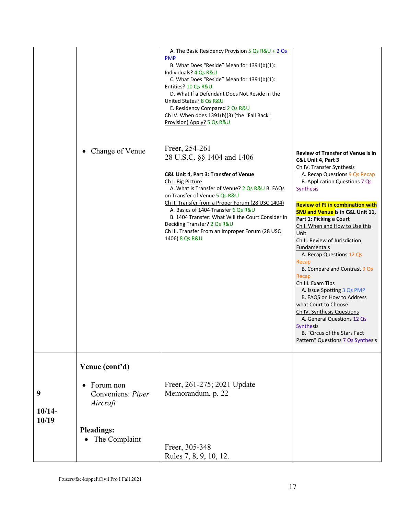|               |                                                         | A. The Basic Residency Provision 5 Qs R&U + 2 Qs<br><b>PMP</b><br>B. What Does "Reside" Mean for 1391(b)(1):<br>Individuals? 4 Qs R&U<br>C. What Does "Reside" Mean for 1391(b)(1):<br>Entities? 10 Qs R&U<br>D. What If a Defendant Does Not Reside in the<br>United States? 8 Qs R&U<br>E. Residency Compared 2 Qs R&U<br>Ch IV. When does 1391(b)(3) (the "Fall Back"<br>Provision) Apply? 5 Qs R&U                                             |                                                                                                                                                                                                                                                                                                                                                                                                                                                                                                                                                                                                                                                                                                                                       |
|---------------|---------------------------------------------------------|----------------------------------------------------------------------------------------------------------------------------------------------------------------------------------------------------------------------------------------------------------------------------------------------------------------------------------------------------------------------------------------------------------------------------------------------------|---------------------------------------------------------------------------------------------------------------------------------------------------------------------------------------------------------------------------------------------------------------------------------------------------------------------------------------------------------------------------------------------------------------------------------------------------------------------------------------------------------------------------------------------------------------------------------------------------------------------------------------------------------------------------------------------------------------------------------------|
|               | Change of Venue<br>$\bullet$                            | Freer, 254-261<br>28 U.S.C. §§ 1404 and 1406<br>C&L Unit 4, Part 3: Transfer of Venue<br>Ch I. Big Picture<br>A. What is Transfer of Venue? 2 Qs R&U B. FAQs<br>on Transfer of Venue 5 Qs R&U<br>Ch II. Transfer from a Proper Forum (28 USC 1404)<br>A. Basics of 1404 Transfer 6 Qs R&U<br>B. 1404 Transfer: What Will the Court Consider in<br>Deciding Transfer? 2 Qs R&U<br>Ch III. Transfer From an Improper Forum (28 USC<br>1406) 8 Qs R&U | Review of Transfer of Venue is in<br>C&L Unit 4, Part 3<br>Ch IV. Transfer Synthesis<br>A. Recap Questions 9 Qs Recap<br>B. Application Questions 7 Qs<br>Synthesis<br><b>Review of PJ in combination with</b><br><b>SMJ and Venue is in C&amp;L Unit 11,</b><br>Part 1: Picking a Court<br>Ch I. When and How to Use this<br>Unit<br>Ch II. Review of Jurisdiction<br><b>Fundamentals</b><br>A. Recap Questions 12 Qs<br>Recap<br>B. Compare and Contrast 9 Qs<br>Recap<br>Ch III. Exam Tips<br>A. Issue Spotting 3 Qs PMP<br>B. FAQS on How to Address<br>what Court to Choose<br>Ch IV. Synthesis Questions<br>A. General Questions 12 Qs<br><b>Synthesis</b><br>B. "Circus of the Stars Fact<br>Pattern" Questions 7 Qs Synthesis |
|               | Venue (cont'd)                                          |                                                                                                                                                                                                                                                                                                                                                                                                                                                    |                                                                                                                                                                                                                                                                                                                                                                                                                                                                                                                                                                                                                                                                                                                                       |
| 9<br>$10/14-$ | Forum non<br>$\bullet$<br>Conveniens: Piper<br>Aircraft | Freer, 261-275; 2021 Update<br>Memorandum, p. 22                                                                                                                                                                                                                                                                                                                                                                                                   |                                                                                                                                                                                                                                                                                                                                                                                                                                                                                                                                                                                                                                                                                                                                       |
| 10/19         | <b>Pleadings:</b><br>The Complaint<br>$\bullet$         | Freer, 305-348<br>Rules 7, 8, 9, 10, 12.                                                                                                                                                                                                                                                                                                                                                                                                           |                                                                                                                                                                                                                                                                                                                                                                                                                                                                                                                                                                                                                                                                                                                                       |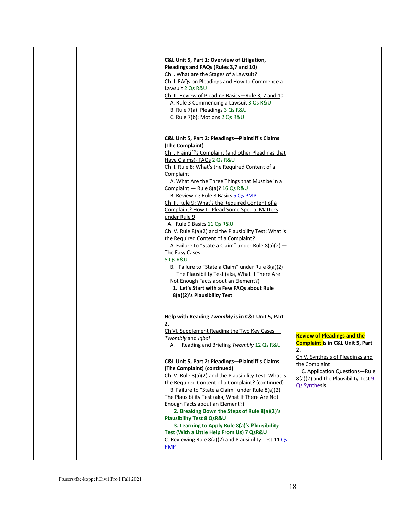|  | C&L Unit 5, Part 1: Overview of Litigation,<br>Pleadings and FAQs (Rules 3,7 and 10)<br>Ch I. What are the Stages of a Lawsuit?<br>Ch II. FAQs on Pleadings and How to Commence a<br>Lawsuit 2 Qs R&U<br>Ch III. Review of Pleading Basics-Rule 3, 7 and 10<br>A. Rule 3 Commencing a Lawsuit 3 Qs R&U<br>B. Rule 7(a): Pleadings 3 Qs R&U<br>C. Rule 7(b): Motions 2 Qs R&U                                                                                                                                                                                                                                                                                                                                                                                                                                                                                                                   |                                                                                                                                                                                                                                             |
|--|------------------------------------------------------------------------------------------------------------------------------------------------------------------------------------------------------------------------------------------------------------------------------------------------------------------------------------------------------------------------------------------------------------------------------------------------------------------------------------------------------------------------------------------------------------------------------------------------------------------------------------------------------------------------------------------------------------------------------------------------------------------------------------------------------------------------------------------------------------------------------------------------|---------------------------------------------------------------------------------------------------------------------------------------------------------------------------------------------------------------------------------------------|
|  | C&L Unit 5, Part 2: Pleadings-Plaintiff's Claims<br>(The Complaint)<br>Ch I. Plaintiff's Complaint (and other Pleadings that<br>Have Claims) - FAQs 2 Qs R&U<br>Ch II. Rule 8: What's the Required Content of a<br>Complaint<br>A. What Are the Three Things that Must be in a<br>Complaint - Rule 8(a)? 16 Qs R&U<br>B. Reviewing Rule 8 Basics 5 Qs PMP<br>Ch III. Rule 9: What's the Required Content of a<br>Complaint? How to Plead Some Special Matters<br>under Rule 9<br>A. Rule 9 Basics 11 Qs R&U<br>Ch IV. Rule 8(a)(2) and the Plausibility Test: What is<br>the Required Content of a Complaint?<br>A. Failure to "State a Claim" under Rule $8(a)(2)$ -<br>The Easy Cases<br>5 Qs R&U<br>B. Failure to "State a Claim" under Rule 8(a)(2)<br>- The Plausibility Test (aka, What If There Are<br>Not Enough Facts about an Element?)<br>1. Let's Start with a Few FAQs about Rule |                                                                                                                                                                                                                                             |
|  | 8(a)(2)'s Plausibility Test<br>Help with Reading Twombly is in C&L Unit 5, Part<br>2.<br>Ch VI. Supplement Reading the Two Key Cases $-$<br><i>Twombly</i> and <i>Iqbal</i><br>Reading and Briefing Twombly 12 Qs R&U<br>А.<br>C&L Unit 5, Part 2: Pleadings-Plaintiff's Claims<br>(The Complaint) (continued)<br>Ch IV. Rule 8(a)(2) and the Plausibility Test: What is<br>the Required Content of a Complaint? (continued)<br>B. Failure to "State a Claim" under Rule $8(a)(2)$ -<br>The Plausibility Test (aka, What If There Are Not<br>Enough Facts about an Element?)<br>2. Breaking Down the Steps of Rule 8(a)(2)'s<br><b>Plausibility Test 8 QsR&amp;U</b><br>3. Learning to Apply Rule 8(a)'s Plausibility<br>Test (With a Little Help From Us) 7 QsR&U<br>C. Reviewing Rule 8(a)(2) and Plausibility Test 11 Qs<br><b>PMP</b>                                                      | <b>Review of Pleadings and the</b><br><b>Complaint is in C&amp;L Unit 5, Part</b><br>2.<br>Ch V. Synthesis of Pleadings and<br>the Complaint<br>C. Application Questions-Rule<br>8(a)(2) and the Plausibility Test 9<br><b>Qs Synthesis</b> |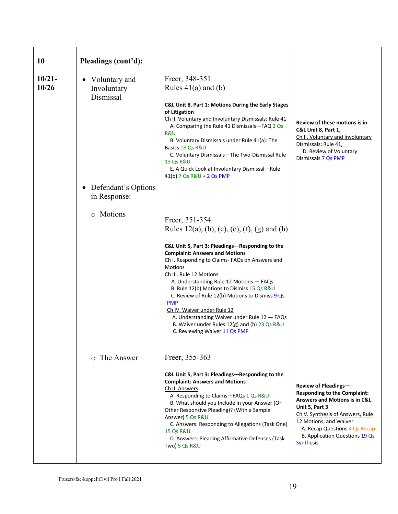| <b>10</b>          | Pleadings (cont'd):                       |                                                                                                                                                                                                                                                                                                                                                                                                                                                                                                                                                                                   |                                                                                                                                                                                                                                                                                |
|--------------------|-------------------------------------------|-----------------------------------------------------------------------------------------------------------------------------------------------------------------------------------------------------------------------------------------------------------------------------------------------------------------------------------------------------------------------------------------------------------------------------------------------------------------------------------------------------------------------------------------------------------------------------------|--------------------------------------------------------------------------------------------------------------------------------------------------------------------------------------------------------------------------------------------------------------------------------|
| $10/21 -$<br>10/26 | Voluntary and<br>Involuntary<br>Dismissal | Freer, 348-351<br>Rules $41(a)$ and (b)<br>C&L Unit 8, Part 1: Motions During the Early Stages<br>of Litigation<br>Ch II. Voluntary and Involuntary Dismissals: Rule 41<br>A. Comparing the Rule 41 Dismissals-FAQ 2 Qs<br>R&U<br>B. Voluntary Dismissals under Rule 41(a): The<br>Basics 18 Qs R&U<br>C. Voluntary Dismissals-The Two-Dismissal Rule<br>13 Qs R&U<br>E. A Quick Look at Involuntary Dismissal-Rule<br>$41(b)$ 7 Qs R&U + 2 Qs PMP                                                                                                                                | Review of these motions is in<br>C&L Unit 8, Part 1,<br>Ch II. Voluntary and Involuntary<br>Dismissals: Rule 41,<br>D. Review of Voluntary<br>Dismissals 7 Qs PMP                                                                                                              |
|                    | Defendant's Options<br>in Response:       |                                                                                                                                                                                                                                                                                                                                                                                                                                                                                                                                                                                   |                                                                                                                                                                                                                                                                                |
|                    | o Motions                                 | Freer, 351-354<br>Rules $12(a)$ , (b), (c), (e), (f), (g) and (h)<br>C&L Unit 5, Part 3: Pleadings-Responding to the<br><b>Complaint: Answers and Motions</b><br>Ch I. Responding to Claims- FAQs on Answers and<br>Motions<br>Ch III. Rule 12 Motions<br>A. Understanding Rule 12 Motions - FAQs<br>B. Rule 12(b) Motions to Dismiss 15 Qs R&U<br>C. Review of Rule 12(b) Motions to Dismiss 9 Qs<br><b>PMP</b><br>Ch IV. Waiver under Rule 12<br>A. Understanding Waiver under Rule 12 - FAQs<br>B. Waiver under Rules 12(g) and (h) 23 Qs R&U<br>C. Reviewing Waiver 11 Qs PMP |                                                                                                                                                                                                                                                                                |
|                    | $\circ$ The Answer                        | Freer, 355-363<br>C&L Unit 5, Part 3: Pleadings-Responding to the<br><b>Complaint: Answers and Motions</b><br>Ch II. Answers<br>A. Responding to Claims-FAQs 1 Qs R&U<br>B. What should you Include in your Answer (Or<br>Other Responsive Pleading)? (With a Sample<br>Answer) 5 Qs R&U<br>C. Answers: Responding to Allegations (Task One)<br><b>15 Qs R&amp;U</b><br>D. Answers: Pleading Affirmative Defenses (Task<br>Two) 5 Qs R&U                                                                                                                                          | <b>Review of Pleadings-</b><br><b>Responding to the Complaint:</b><br><b>Answers and Motions is in C&amp;L</b><br>Unit 5, Part 3<br>Ch V. Synthesis of Answers, Rule<br>12 Motions, and Waiver<br>A. Recap Questions 4 Qs Recap<br>B. Application Questions 19 Qs<br>Synthesis |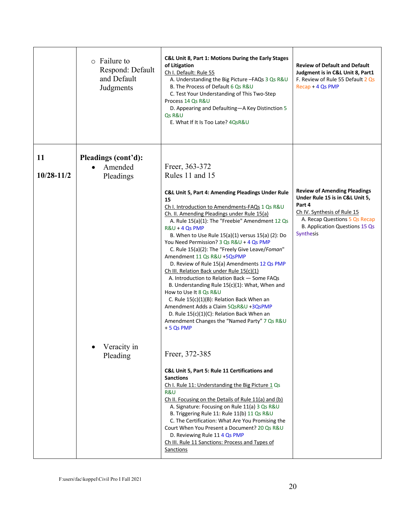|                | $\circ$ Failure to<br>Respond: Default<br>and Default<br>Judgments | C&L Unit 8, Part 1: Motions During the Early Stages<br>of Litigation<br>Ch I. Default: Rule 55<br>A. Understanding the Big Picture -FAQs 3 Qs R&U<br>B. The Process of Default 6 Qs R&U<br>C. Test Your Understanding of This Two-Step<br>Process 14 Qs R&U<br>D. Appearing and Defaulting-A Key Distinction 5<br>Qs R&U<br>E. What If It Is Too Late? 4QsR&U                                                                                                                                                                                                                                                                                                                                                                                                                                                                                 | <b>Review of Default and Default</b><br>Judgment is in C&L Unit 8, Part1<br>F. Review of Rule 55 Default 2 Os<br>Recap + 4 Qs PMP                                                               |
|----------------|--------------------------------------------------------------------|-----------------------------------------------------------------------------------------------------------------------------------------------------------------------------------------------------------------------------------------------------------------------------------------------------------------------------------------------------------------------------------------------------------------------------------------------------------------------------------------------------------------------------------------------------------------------------------------------------------------------------------------------------------------------------------------------------------------------------------------------------------------------------------------------------------------------------------------------|-------------------------------------------------------------------------------------------------------------------------------------------------------------------------------------------------|
| 11             | Pleadings (cont'd):                                                |                                                                                                                                                                                                                                                                                                                                                                                                                                                                                                                                                                                                                                                                                                                                                                                                                                               |                                                                                                                                                                                                 |
|                | Amended                                                            | Freer, 363-372                                                                                                                                                                                                                                                                                                                                                                                                                                                                                                                                                                                                                                                                                                                                                                                                                                |                                                                                                                                                                                                 |
| $10/28 - 11/2$ | Pleadings                                                          | Rules 11 and 15                                                                                                                                                                                                                                                                                                                                                                                                                                                                                                                                                                                                                                                                                                                                                                                                                               |                                                                                                                                                                                                 |
|                |                                                                    | C&L Unit 5, Part 4: Amending Pleadings Under Rule<br>15<br>Ch I. Introduction to Amendments-FAQs 1 Qs R&U<br>Ch. II. Amending Pleadings under Rule 15(a)<br>A. Rule 15(a)(1): The "Freebie" Amendment 12 Qs<br>R&U + 4 Qs PMP<br>B. When to Use Rule 15(a)(1) versus 15(a) (2): Do<br>You Need Permission? 3 Qs R&U + 4 Qs PMP<br>C. Rule 15(a)(2): The "Freely Give Leave/Foman"<br>Amendment 11 Qs R&U +5QsPMP<br>D. Review of Rule 15(a) Amendments 12 Qs PMP<br>Ch III. Relation Back under Rule 15(c)(1)<br>A. Introduction to Relation Back - Some FAQs<br>B. Understanding Rule 15(c)(1): What, When and<br>How to Use It 8 Qs R&U<br>C. Rule 15(c)(1)(B): Relation Back When an<br>Amendment Adds a Claim 5QsR&U +3QsPMP<br>D. Rule 15(c)(1)(C): Relation Back When an<br>Amendment Changes the "Named Party" 7 Qs R&U<br>$+5$ Qs PMP | <b>Review of Amending Pleadings</b><br>Under Rule 15 is in C&L Unit 5,<br>Part 4<br>Ch IV. Synthesis of Rule 15<br>A. Recap Questions 5 Qs Recap<br>B. Application Questions 15 Qs<br>Synthesis |
|                | Veracity in<br>Pleading                                            | Freer, 372-385<br>C&L Unit 5, Part 5: Rule 11 Certifications and<br><b>Sanctions</b><br>Ch I. Rule 11: Understanding the Big Picture 1 Qs<br>R&U<br>Ch II. Focusing on the Details of Rule 11(a) and (b)<br>A. Signature: Focusing on Rule 11(a) 3 Qs R&U<br>B. Triggering Rule 11: Rule 11(b) 11 Qs R&U<br>C. The Certification: What Are You Promising the<br>Court When You Present a Document? 20 Qs R&U<br>D. Reviewing Rule 11 4 Qs PMP<br>Ch III. Rule 11 Sanctions: Process and Types of<br>Sanctions                                                                                                                                                                                                                                                                                                                                 |                                                                                                                                                                                                 |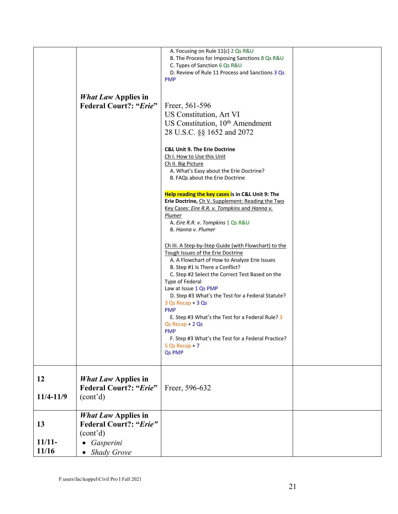|                         |                                                                                                            | A. Focusing on Rule 11(c) 2 Qs R&U<br>B. The Process for Imposing Sanctions 8 Qs R&U<br>C. Types of Sanction 6 Qs R&U<br>D. Review of Rule 11 Process and Sanctions 3 Qs<br><b>PMP</b>                                                                                                                                                                              |  |
|-------------------------|------------------------------------------------------------------------------------------------------------|---------------------------------------------------------------------------------------------------------------------------------------------------------------------------------------------------------------------------------------------------------------------------------------------------------------------------------------------------------------------|--|
|                         | <b>What Law Applies in</b><br><b>Federal Court?: "Erie"</b>                                                | Freer, 561-596<br>US Constitution, Art VI<br>US Constitution, 10 <sup>th</sup> Amendment<br>28 U.S.C. §§ 1652 and 2072<br><b>C&amp;L Unit 9. The Erie Doctrine</b><br>Ch I. How to Use this Unit                                                                                                                                                                    |  |
|                         |                                                                                                            | Ch II. Big Picture<br>A. What's Easy about the Erie Doctrine?<br>B. FAQs about the Erie Doctrine<br>Help reading the key cases is in C&L Unit 9: The<br>Erie Doctrine, Ch V. Supplement: Reading the Two<br>Key Cases: Eire R.R. v. Tompkins and Hanna v.<br>Plumer<br>A. Eire R.R. v. Tompkins 1 Qs R&U<br>B. Hanna v. Plumer                                      |  |
|                         |                                                                                                            | Ch III. A Step-by-Step Guide (with Flowchart) to the<br>Tough Issues of the Erie Doctrine<br>A. A Flowchart of How to Analyze Erie Issues<br>B. Step #1 Is There a Conflict?<br>C. Step #2 Select the Correct Test Based on the<br>Type of Federal<br>Law at Issue 1 Qs PMP<br>D. Step #3 What's the Test for a Federal Statute?<br>3 Qs Recap + 3 Qs<br><b>PMP</b> |  |
|                         |                                                                                                            | E. Step #3 What's the Test for a Federal Rule? 3<br>$Qs$ Recap + 2 $Qs$<br><b>PMP</b><br>F. Step #3 What's the Test for a Federal Practice?<br>$5 Qs Recap + 7$<br>Qs PMP                                                                                                                                                                                           |  |
| 12<br>11/4-11/9         | <b>What Law Applies in</b><br><b>Federal Court?: "Erie"</b><br>(cont'd)                                    | Freer, 596-632                                                                                                                                                                                                                                                                                                                                                      |  |
| 13<br>$11/11-$<br>11/16 | <b>What Law Applies in</b><br><b>Federal Court?: "Erie"</b><br>(cont'd)<br>Gasperini<br><b>Shady Grove</b> |                                                                                                                                                                                                                                                                                                                                                                     |  |